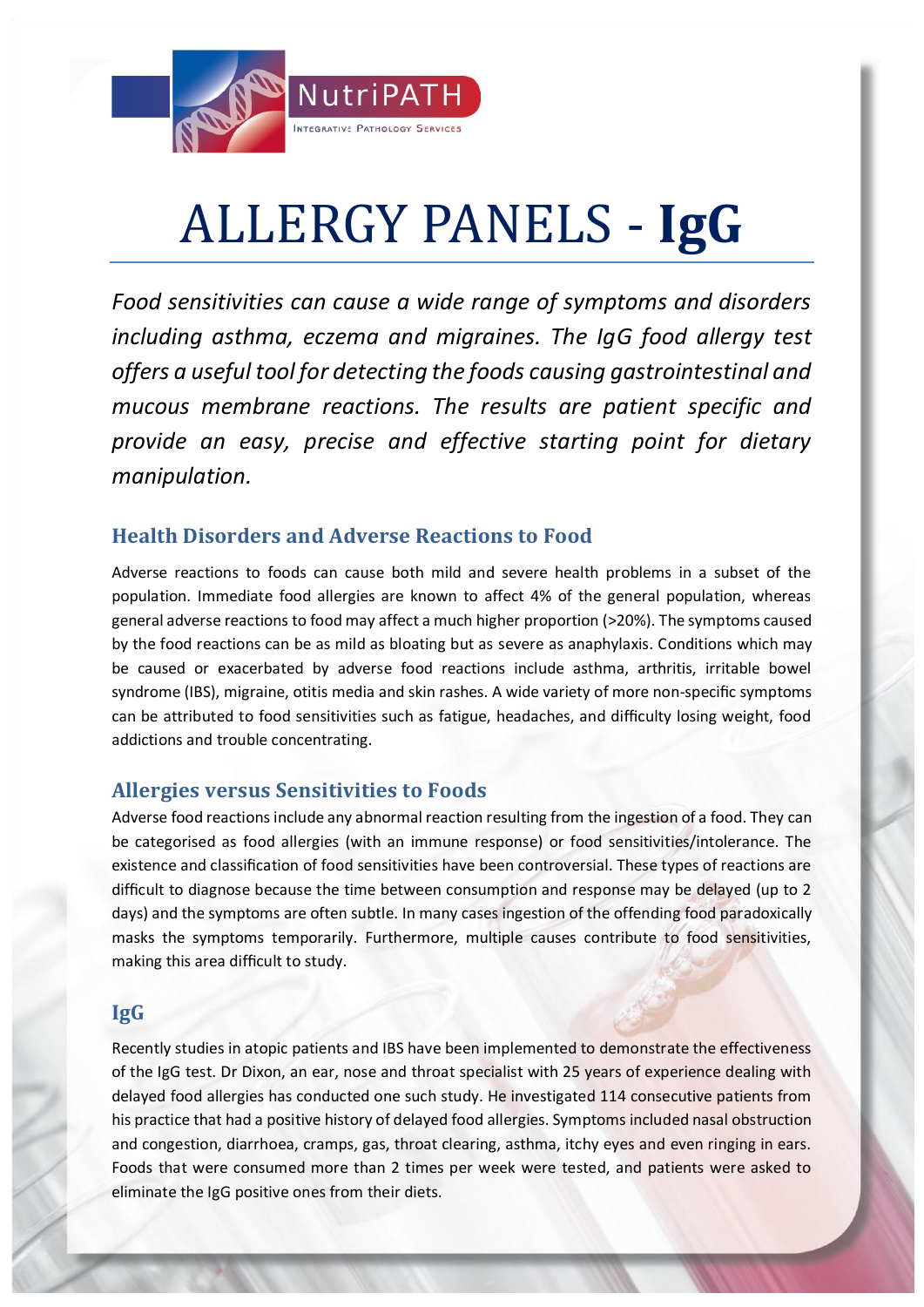

# ALLERGY PANELS - **IgG**

*Food sensitivities can cause a wide range of symptoms and disorders including asthma, eczema and migraines. The IgG food allergy test offers a useful tool for detecting the foods causing gastrointestinal and mucous membrane reactions. The results are patient specific and provide an easy, precise and effective starting point for dietary manipulation.*

# **Health Disorders and Adverse Reactions to Food**

Adverse reactions to foods can cause both mild and severe health problems in a subset of the population. Immediate food allergies are known to affect 4% of the general population, whereas general adverse reactions to food may affect a much higher proportion (>20%). The symptoms caused by the food reactions can be as mild as bloating but as severe as anaphylaxis. Conditions which may be caused or exacerbated by adverse food reactions include asthma, arthritis, irritable bowel syndrome (IBS), migraine, otitis media and skin rashes. A wide variety of more non-specific symptoms can be attributed to food sensitivities such as fatigue, headaches, and difficulty losing weight, food addictions and trouble concentrating.

## **Allergies versus Sensitivities to Foods**

Adverse food reactions include any abnormal reaction resulting from the ingestion of a food. They can be categorised as food allergies (with an immune response) or food sensitivities/intolerance. The existence and classification of food sensitivities have been controversial. These types of reactions are difficult to diagnose because the time between consumption and response may be delayed (up to 2 days) and the symptoms are often subtle. In many cases ingestion of the offending food paradoxically masks the symptoms temporarily. Furthermore, multiple causes contribute to food sensitivities, making this area difficult to study.

## **IgG**

Recently studies in atopic patients and IBS have been implemented to demonstrate the effectiveness of the IgG test. Dr Dixon, an ear, nose and throat specialist with 25 years of experience dealing with delayed food allergies has conducted one such study. He investigated 114 consecutive patients from his practice that had a positive history of delayed food allergies. Symptoms included nasal obstruction and congestion, diarrhoea, cramps, gas, throat clearing, asthma, itchy eyes and even ringing in ears. Foods that were consumed more than 2 times per week were tested, and patients were asked to eliminate the IgG positive ones from their diets.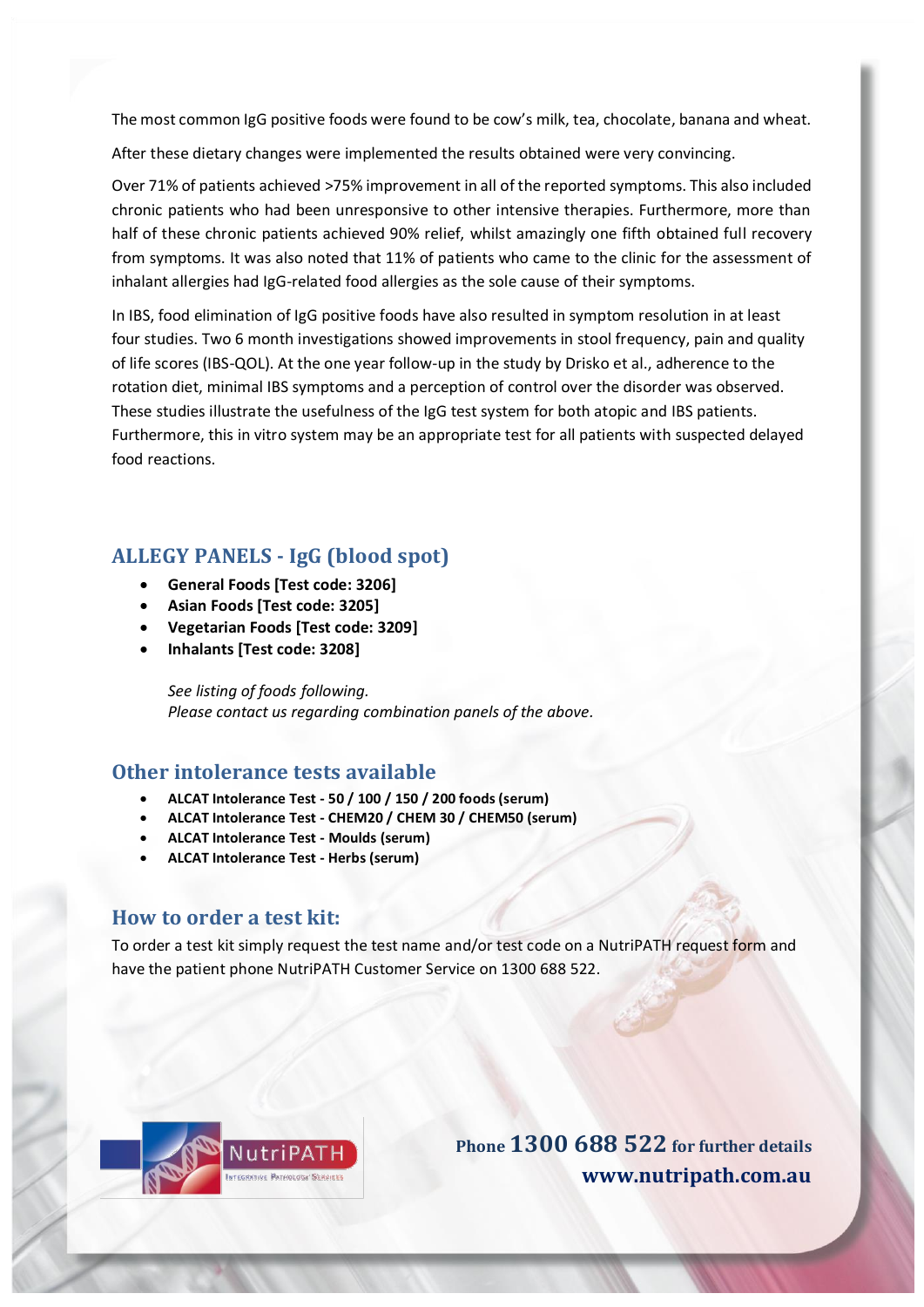The most common IgG positive foods were found to be cow's milk, tea, chocolate, banana and wheat.

After these dietary changes were implemented the results obtained were very convincing.

Over 71% of patients achieved >75% improvement in all of the reported symptoms. This also included chronic patients who had been unresponsive to other intensive therapies. Furthermore, more than half of these chronic patients achieved 90% relief, whilst amazingly one fifth obtained full recovery from symptoms. It was also noted that 11% of patients who came to the clinic for the assessment of inhalant allergies had IgG-related food allergies as the sole cause of their symptoms.

In IBS, food elimination of IgG positive foods have also resulted in symptom resolution in at least four studies. Two 6 month investigations showed improvements in stool frequency, pain and quality of life scores (IBS-QOL). At the one year follow-up in the study by Drisko et al., adherence to the rotation diet, minimal IBS symptoms and a perception of control over the disorder was observed. These studies illustrate the usefulness of the IgG test system for both atopic and IBS patients. Furthermore, this in vitro system may be an appropriate test for all patients with suspected delayed food reactions.

## **ALLEGY PANELS - IgG (blood spot)**

- **General Foods [Test code: 3206]**
- **Asian Foods [Test code: 3205]**
- **Vegetarian Foods [Test code: 3209]**
- **Inhalants [Test code: 3208]**

*See listing of foods following. Please contact us regarding combination panels of the above.*

## **Other intolerance tests available**

- **ALCAT Intolerance Test - 50 / 100 / 150 / 200 foods (serum)**
- **ALCAT Intolerance Test - CHEM20 / CHEM 30 / CHEM50 (serum)**
- **ALCAT Intolerance Test - Moulds (serum)**
- **ALCAT Intolerance Test - Herbs (serum)**

#### **How to order a test kit:**

To order a test kit simply request the test name and/or test code on a NutriPATH request form and have the patient phone NutriPATH Customer Service on 1300 688 522.



**Phone 1300 688 522 for further details [www.nutripath.com.au](http://www.nutripath.com.au/)**